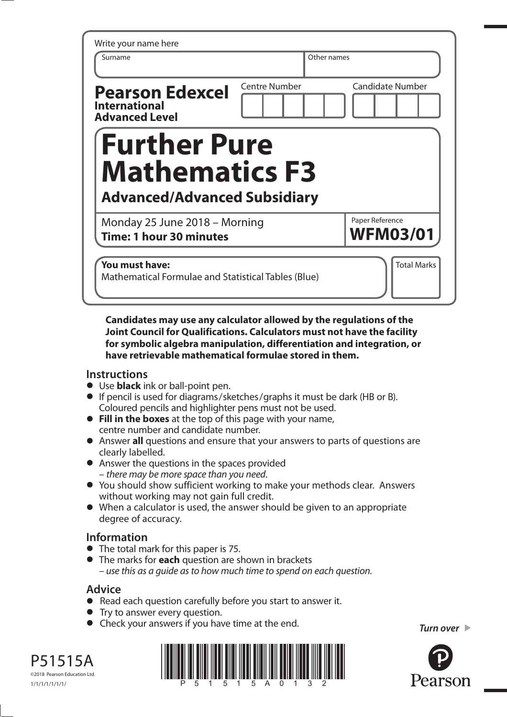| Write your name here<br>Surname                                         | Other names   |                                    |
|-------------------------------------------------------------------------|---------------|------------------------------------|
| <b>Pearson Edexcel</b><br><b>International</b><br><b>Advanced Level</b> | Centre Number | <b>Candidate Number</b>            |
| <b>Further Pure</b>                                                     |               |                                    |
| <b>Mathematics F3</b><br><b>Advanced/Advanced Subsidiary</b>            |               |                                    |
| Monday 25 June 2018 - Morning<br>Time: 1 hour 30 minutes                |               | Paper Reference<br><b>WFM03/01</b> |

**Candidates may use any calculator allowed by the regulations of the Joint Council for Qualifications. Calculators must not have the facility for symbolic algebra manipulation, differentiation and integration, or have retrievable mathematical formulae stored in them.** 

#### **Instructions**

- **•** Use **black** ink or ball-point pen.
- **•** If pencil is used for diagrams/sketches/graphs it must be dark (HB or B). Coloured pencils and highlighter pens must not be used.
- **• Fill in the boxes** at the top of this page with your name, centre number and candidate number.
- **•** Answer **all** questions and ensure that your answers to parts of questions are clearly labelled.
- **•** Answer the questions in the spaces provided – there may be more space than you need.
- **•** You should show sufficient working to make your methods clear. Answers without working may not gain full credit.
- **•** When a calculator is used, the answer should be given to an appropriate degree of accuracy.

### **Information**

- **•** The total mark for this paper is 75.
- **•** The marks for **each** question are shown in brackets – use this as a guide as to how much time to spend on each question.

### **Advice**

- **Advice**<br>● Read each question carefully before you start to answer it. • Read each question carefully<br>• Try to answer every question.
- 
- **•** Try to answer every question.<br>● Check your answers if you have time at the end. *Turn over* ▶



P51515A ©2018 Pearson Education Ltd.

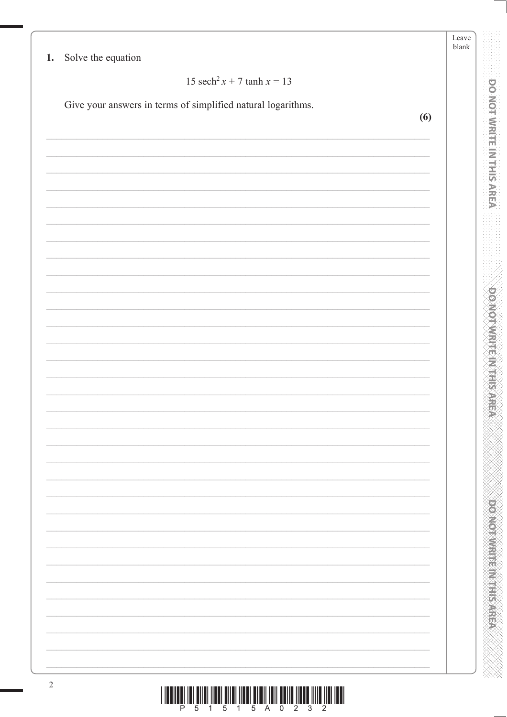| 15 sech <sup>2</sup> x + 7 tanh x = 13                       |     |
|--------------------------------------------------------------|-----|
| Give your answers in terms of simplified natural logarithms. |     |
|                                                              | (6) |
|                                                              |     |
|                                                              |     |
|                                                              |     |
|                                                              |     |
|                                                              |     |
|                                                              |     |
|                                                              |     |
|                                                              |     |
|                                                              |     |
|                                                              |     |
|                                                              |     |
|                                                              |     |
|                                                              |     |
|                                                              |     |
|                                                              |     |
|                                                              |     |
|                                                              |     |
|                                                              |     |
|                                                              |     |
|                                                              |     |
|                                                              |     |
|                                                              |     |
|                                                              |     |
|                                                              |     |
|                                                              |     |
|                                                              |     |
|                                                              |     |
|                                                              |     |
|                                                              |     |
|                                                              |     |
|                                                              |     |
|                                                              |     |
|                                                              |     |
|                                                              |     |

**POWER MENTERN RESPECT** 

**DO NOTIVIAL ET LES RESPONS** 

XXX

1000 pm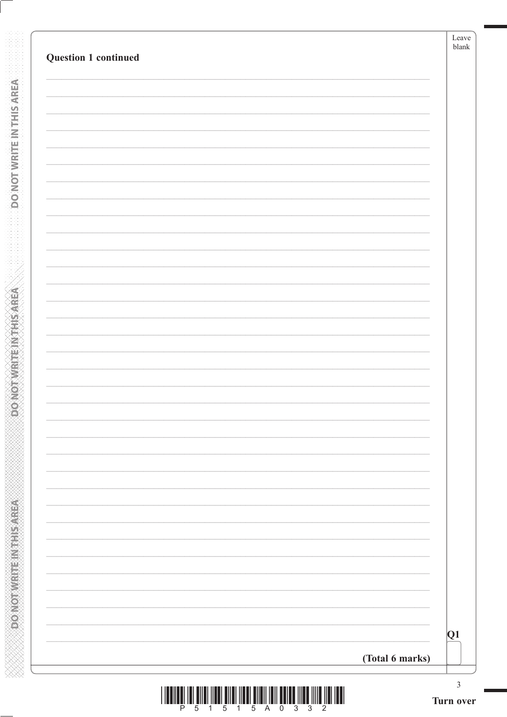| Question 1 continued |                 | Leave<br>blank |
|----------------------|-----------------|----------------|
|                      |                 |                |
|                      |                 |                |
|                      |                 |                |
|                      |                 |                |
|                      |                 |                |
|                      |                 |                |
|                      |                 |                |
|                      |                 |                |
|                      |                 |                |
|                      |                 |                |
|                      |                 |                |
|                      |                 |                |
|                      |                 |                |
|                      |                 |                |
|                      |                 |                |
|                      |                 |                |
|                      |                 |                |
|                      |                 |                |
|                      |                 |                |
|                      |                 |                |
|                      |                 |                |
|                      |                 |                |
|                      |                 |                |
|                      |                 |                |
|                      |                 |                |
|                      |                 |                |
|                      |                 |                |
|                      |                 |                |
|                      |                 |                |
|                      |                 |                |
|                      |                 | Q1             |
|                      | (Total 6 marks) |                |
|                      |                 |                |

**DONOTWEITEINTHIS AREA** 

**CONCRETE INTERNATION**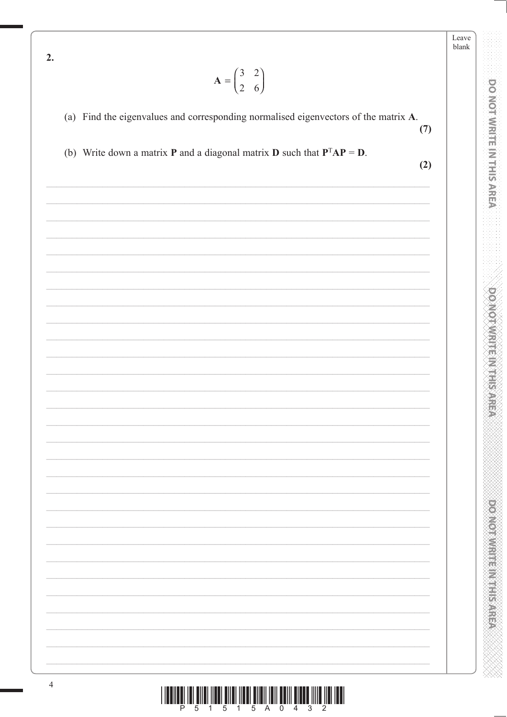Leave blank

**DO NOTWRITE IN THIS AREA** 

**DO MOT WRITE IN THIS AREA** 

**DONOTHER MERICAN SARRA** 

| V<br>r |  |
|--------|--|

## (a) Find the eigenvalues and corresponding normalised eigenvectors of the matrix A.  $(7)$

 $\begin{pmatrix} 2 \\ 6 \end{pmatrix}$ 

(b) Write down a matrix **P** and a diagonal matrix **D** such that  $P^{T}AP = D$ .

 $(2)$ 

 $2.$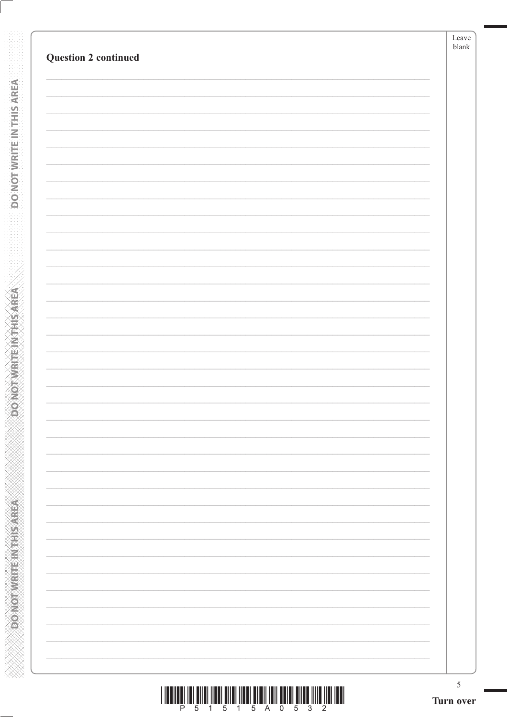| <b>Question 2 continued</b> | Leave<br>blank |
|-----------------------------|----------------|
|                             |                |
|                             |                |
|                             |                |
|                             |                |
|                             |                |
|                             |                |
|                             |                |
|                             |                |
|                             |                |
|                             |                |
|                             |                |
|                             |                |
|                             |                |
|                             |                |
|                             |                |
|                             |                |
|                             |                |
|                             |                |
|                             |                |
|                             |                |
|                             |                |
|                             |                |
|                             |                |
|                             |                |
|                             |                |
|                             |                |
|                             |                |
|                             |                |
|                             |                |
|                             |                |
|                             |                |
|                             |                |
|                             |                |
|                             |                |
|                             |                |
|                             |                |

**DONOTWEITEINTHISAREA** 

**Example 2014 The Model of Action** 

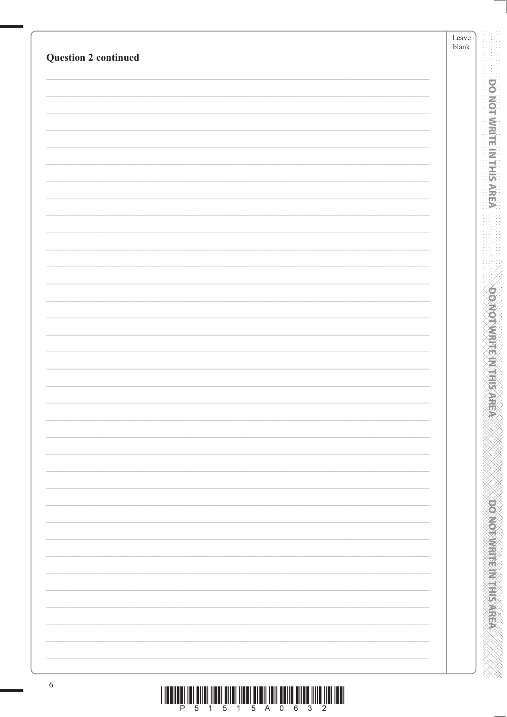| <b>Question 2 continued</b> | Leave<br>${\it blank}$ |
|-----------------------------|------------------------|
|                             |                        |
|                             |                        |
|                             |                        |
|                             |                        |
|                             |                        |
|                             |                        |
|                             |                        |
|                             |                        |
|                             |                        |
|                             |                        |
|                             |                        |
|                             |                        |
|                             |                        |
|                             |                        |
|                             |                        |
|                             |                        |
|                             |                        |
|                             |                        |
|                             |                        |
|                             |                        |
|                             |                        |
|                             |                        |
|                             |                        |
|                             |                        |
|                             |                        |
|                             |                        |
|                             |                        |
|                             |                        |
|                             |                        |
|                             |                        |
|                             |                        |
|                             |                        |
|                             |                        |
|                             |                        |
|                             |                        |
|                             |                        |
|                             |                        |
|                             |                        |
|                             |                        |
|                             |                        |
|                             |                        |
|                             |                        |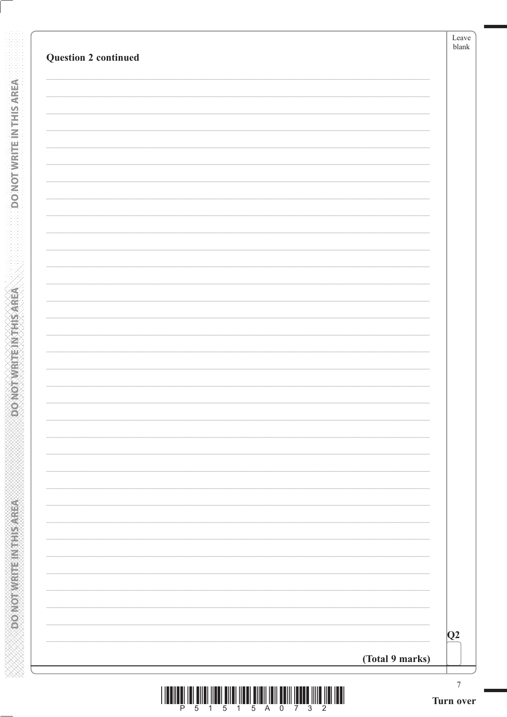| <b>Question 2 continued</b> |                 | blank |
|-----------------------------|-----------------|-------|
|                             |                 |       |
|                             |                 |       |
|                             |                 |       |
|                             |                 |       |
|                             |                 |       |
|                             |                 |       |
|                             |                 |       |
|                             |                 |       |
|                             |                 |       |
|                             |                 |       |
|                             |                 |       |
|                             |                 |       |
|                             |                 |       |
|                             |                 |       |
|                             |                 |       |
|                             |                 |       |
|                             |                 |       |
|                             |                 |       |
|                             |                 |       |
|                             |                 | Q2    |
|                             | (Total 9 marks) |       |

**DONOTWRITE IN THIS AREA** 

**ASSAMPLINE STATE OF COLOR** 

**ARAN MANAN MANAN MANAN MANAN MANAN**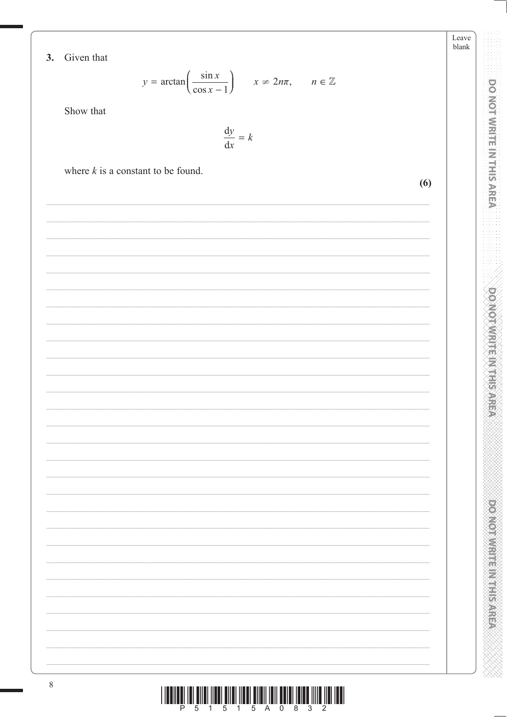3. Given that

$$
y = \arctan\left(\frac{\sin x}{\cos x - 1}\right) \qquad x \neq 2n\pi, \qquad n \in \mathbb{Z}
$$

Leave blank

**DO NOT WRITE IN THIS AREA** 

**DO NOTWRITE IN THIS AREA** 

**DOOMOTOM: IEEN CENTER** 

Show that

where  $k$  is a constant to be found.

 $\frac{\mathrm{d}y}{\mathrm{d}x} = k$  $(6)$ 

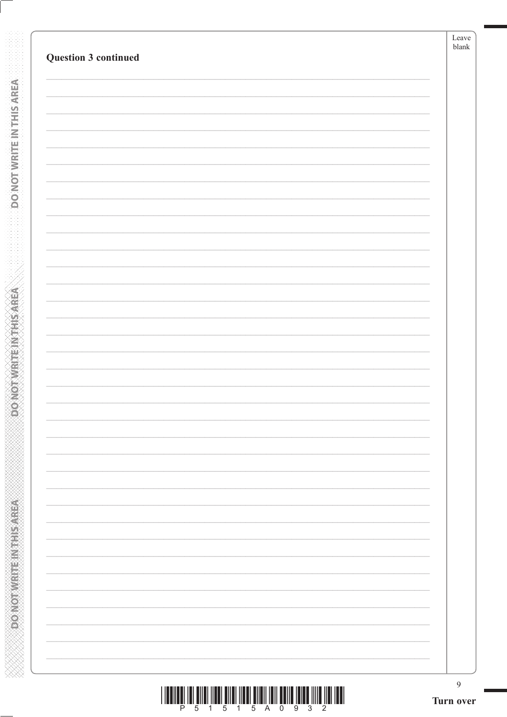|                             | Leave<br>blank |
|-----------------------------|----------------|
| <b>Question 3 continued</b> |                |
|                             |                |
|                             |                |
|                             |                |
|                             |                |
|                             |                |
|                             |                |
|                             |                |
|                             |                |
|                             |                |
|                             |                |
|                             |                |
|                             |                |
|                             |                |
|                             |                |
|                             |                |
|                             |                |
|                             |                |
|                             |                |
|                             |                |
|                             |                |
|                             |                |
|                             |                |
|                             |                |
|                             |                |
|                             |                |
|                             |                |
|                             |                |
|                             | $\overline{9}$ |

**DONOTWEITEINTHISAREA** 

**CONCRETE INTERNATION** 

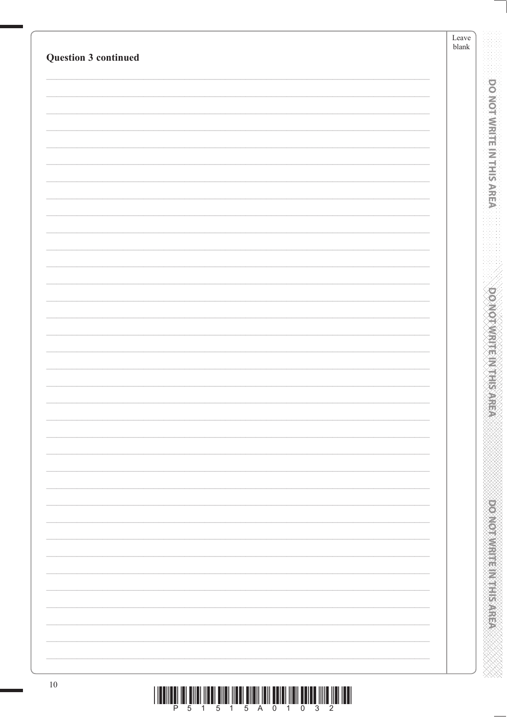| Question 3 continued |                                                                             | Leave<br>${\it blank}$ |                                      |
|----------------------|-----------------------------------------------------------------------------|------------------------|--------------------------------------|
|                      |                                                                             |                        |                                      |
|                      |                                                                             |                        | <b>DO NOT WRITE IN THIS AREA</b>     |
|                      |                                                                             |                        |                                      |
|                      |                                                                             |                        |                                      |
|                      |                                                                             |                        |                                      |
|                      |                                                                             |                        |                                      |
|                      |                                                                             |                        |                                      |
|                      |                                                                             |                        |                                      |
|                      |                                                                             |                        |                                      |
|                      |                                                                             |                        |                                      |
|                      |                                                                             |                        |                                      |
|                      |                                                                             |                        |                                      |
|                      |                                                                             |                        | <b>DOMOINMENT REPORTS</b>            |
|                      |                                                                             |                        |                                      |
|                      |                                                                             |                        |                                      |
|                      |                                                                             |                        | æ,                                   |
|                      |                                                                             |                        |                                      |
|                      |                                                                             |                        |                                      |
|                      |                                                                             |                        |                                      |
|                      |                                                                             |                        |                                      |
|                      |                                                                             |                        |                                      |
|                      |                                                                             |                        |                                      |
|                      |                                                                             |                        |                                      |
|                      |                                                                             |                        |                                      |
|                      |                                                                             |                        | <b>Provident and Provident State</b> |
|                      |                                                                             |                        |                                      |
|                      |                                                                             |                        |                                      |
| $10\,$               | THE THE THE REPORT OF A 1990 HE WAS ARRESTED FOR THE THE THE THE THE THEFT. |                        |                                      |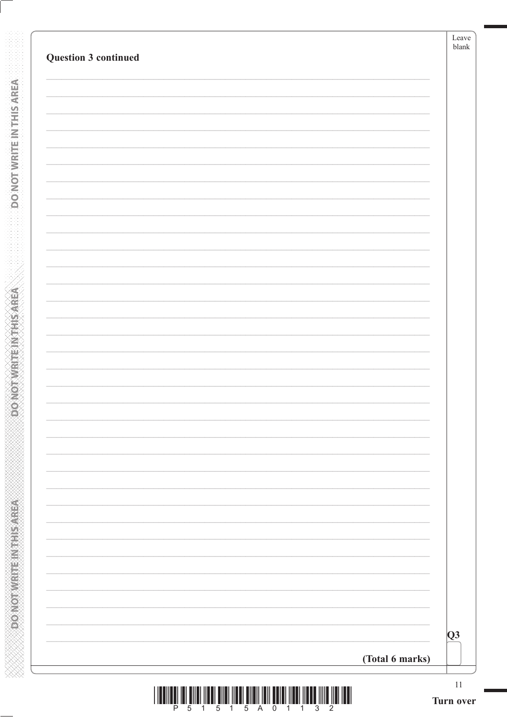| Question 3 continued |                 |
|----------------------|-----------------|
|                      |                 |
|                      |                 |
|                      |                 |
|                      |                 |
|                      |                 |
|                      |                 |
|                      |                 |
|                      |                 |
|                      |                 |
|                      |                 |
|                      |                 |
|                      |                 |
|                      |                 |
|                      |                 |
|                      |                 |
|                      |                 |
|                      |                 |
|                      |                 |
|                      | Q3              |
|                      | (Total 6 marks) |

**DONOTWRITEINTHISAREA** 

**PONOTWRITEIN THIS AREA**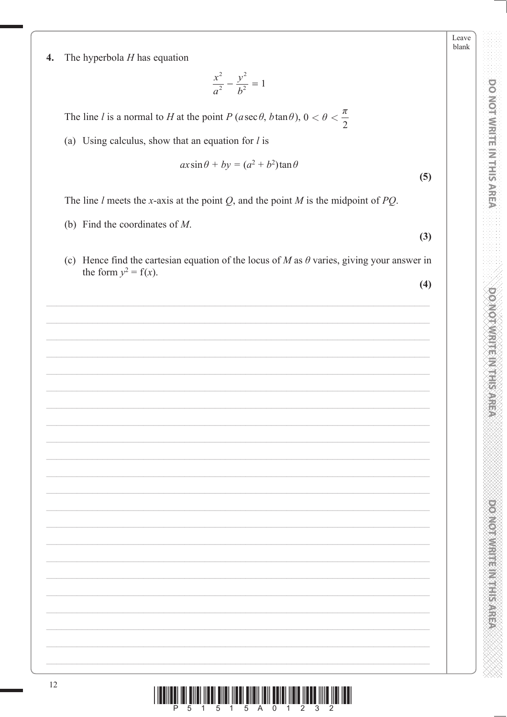**POWOOD WAS ABOUT A MARKET STATE** 

Leave blank

 $\boldsymbol{4}$ . The hyperbola  $H$  has equation

$$
\frac{x^2}{a^2} - \frac{y^2}{b^2} = 1
$$

The line l is a normal to H at the point P ( $a \sec \theta$ ,  $b \tan \theta$ ),  $0 < \theta < \frac{\pi}{2}$ 

(a) Using calculus, show that an equation for  $l$  is

$$
ax\sin\theta + by = (a^2 + b^2)\tan\theta
$$

The line  $l$  meets the x-axis at the point  $Q$ , and the point  $M$  is the midpoint of  $PQ$ .

- (b) Find the coordinates of  $M$ .
- (c) Hence find the cartesian equation of the locus of M as  $\theta$  varies, giving your answer in the form  $y^2 = f(x)$ .

 $(4)$ 

 $(3)$ 

 $(5)$ 

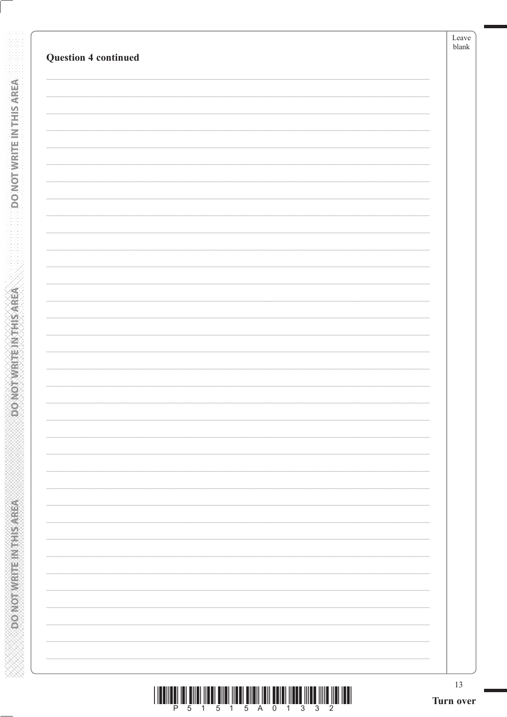|                             | 13 |
|-----------------------------|----|
|                             |    |
|                             |    |
|                             |    |
|                             |    |
|                             |    |
|                             |    |
|                             |    |
|                             |    |
|                             |    |
|                             |    |
|                             |    |
|                             |    |
|                             |    |
|                             |    |
|                             |    |
|                             |    |
|                             |    |
| <b>Question 4 continued</b> |    |

**DO NOT WRITE INTERSAREA** 

**ABBASE IN MARKED AND CONCOR** 

|  |  |  | 1 5 1 5 A 0 1 3 3 |  |  |  |
|--|--|--|-------------------|--|--|--|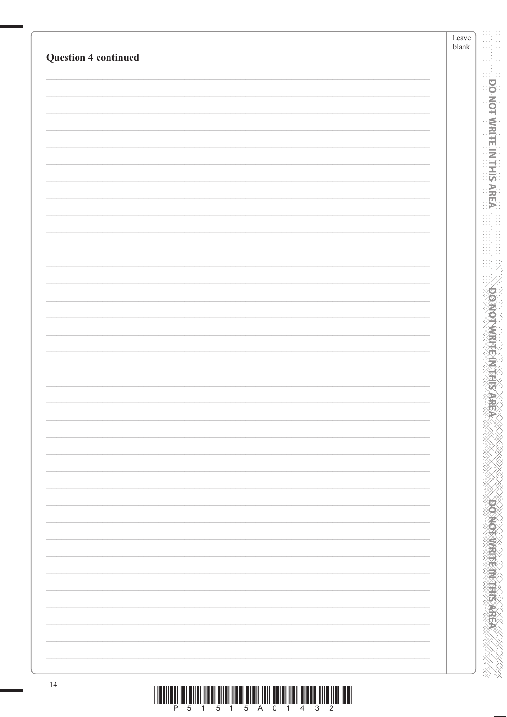| <b>Question 4 continued</b> | Leave<br>${\tt blank}$ |
|-----------------------------|------------------------|
|                             |                        |
|                             |                        |
|                             |                        |
|                             |                        |
|                             |                        |
|                             |                        |
|                             |                        |
|                             |                        |
|                             |                        |
|                             |                        |
|                             |                        |
|                             |                        |
|                             |                        |
|                             |                        |
|                             |                        |
|                             |                        |
|                             |                        |
|                             |                        |
|                             |                        |
|                             |                        |
|                             |                        |
|                             |                        |
|                             |                        |
|                             |                        |
|                             |                        |
|                             |                        |
|                             |                        |
|                             |                        |
|                             |                        |
|                             |                        |
|                             |                        |
|                             |                        |
|                             |                        |
|                             |                        |
|                             |                        |
|                             |                        |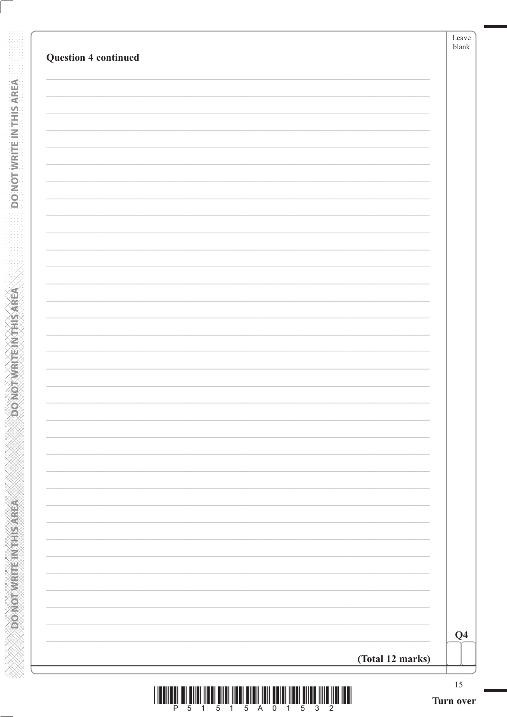| Q <sub>4</sub> |
|----------------|

**DONOTWRITEWTHSAREA** 

**ACTIVE SHEET METAL COVERS** 

**XXXXXXXXXXXXXXXXXXXXXXXXXXXXX**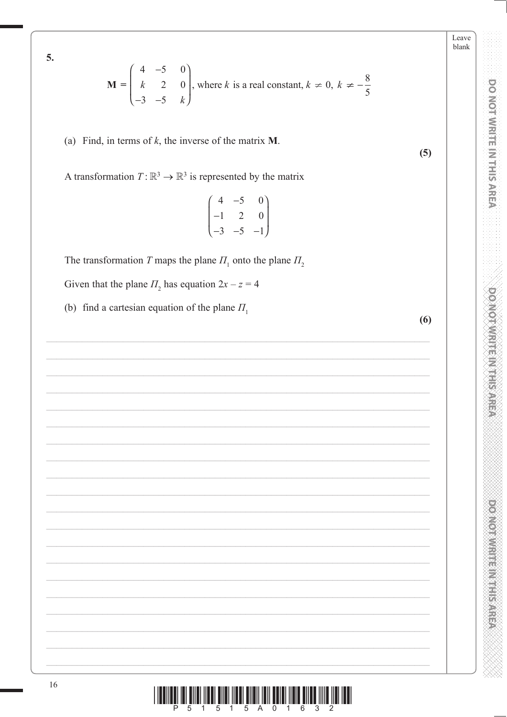5.

$$
\mathbf{M} = \begin{pmatrix} 4 & -5 & 0 \\ k & 2 & 0 \\ -3 & -5 & k \end{pmatrix}
$$
, where *k* is a real constant,  $k \neq 0$ ,  $k \neq -\frac{8}{5}$ 

(a) Find, in terms of  $k$ , the inverse of the matrix  $M$ .

A transformation  $T: \mathbb{R}^3 \to \mathbb{R}^3$  is represented by the matrix

$$
\begin{pmatrix}\n4 & -5 & 0 \\
-1 & 2 & 0 \\
-3 & -5 & -1\n\end{pmatrix}
$$

The transformation T maps the plane  $\Pi_1$  onto the plane  $\Pi_2$ 

Given that the plane  $\Pi_2$  has equation  $2x - z = 4$ 

(b) find a cartesian equation of the plane  $\Pi_1$ 

 $(5)$ 

Leave blank

**DO NOT WRITE IN THIS AREA** 

**DOXOTAMRITENT HIS AREA** 

**President in the Second Second** 

<u> Îlin Êlin Îlin Êlin Îlin Êlin Îlin Êlin Îlin Êlin Êlin Êlin Îlin</u> Ш P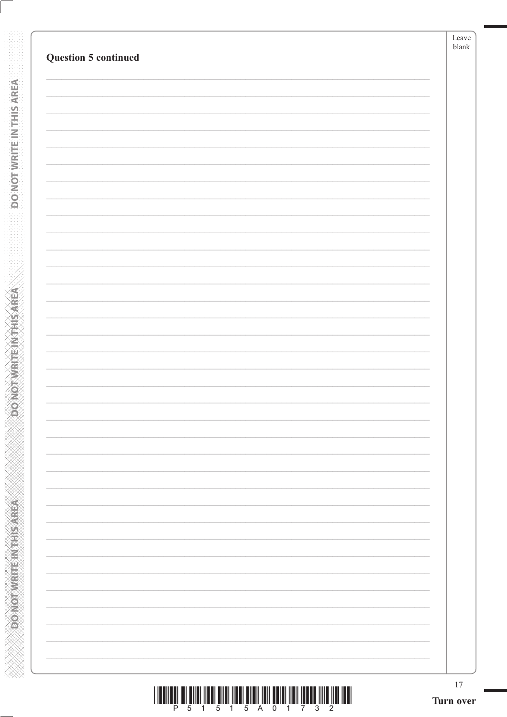DO NOT WRITE IN THIS AREA

**ABING THE ENDING ONGER** 

| P 5 1 5 1 5 A 0 1 7 3 2 |  |  |  |  |  |  |
|-------------------------|--|--|--|--|--|--|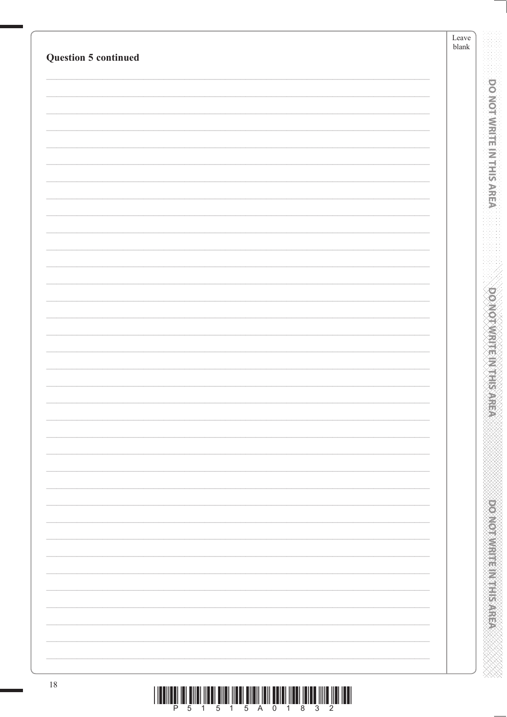|                             | $\operatorname{Leave}$<br>${\tt blank}$ |
|-----------------------------|-----------------------------------------|
| <b>Question 5 continued</b> |                                         |
|                             |                                         |
|                             |                                         |
|                             |                                         |
|                             |                                         |
|                             |                                         |
|                             |                                         |
|                             |                                         |
|                             |                                         |
|                             |                                         |
|                             |                                         |
|                             |                                         |
|                             |                                         |
|                             |                                         |
|                             |                                         |
|                             |                                         |
|                             |                                         |
|                             |                                         |
|                             |                                         |
|                             |                                         |
|                             |                                         |
|                             |                                         |
|                             |                                         |
|                             |                                         |
|                             |                                         |
|                             |                                         |
|                             |                                         |
|                             |                                         |
|                             |                                         |
|                             |                                         |
|                             |                                         |
|                             |                                         |
| $18\,$                      |                                         |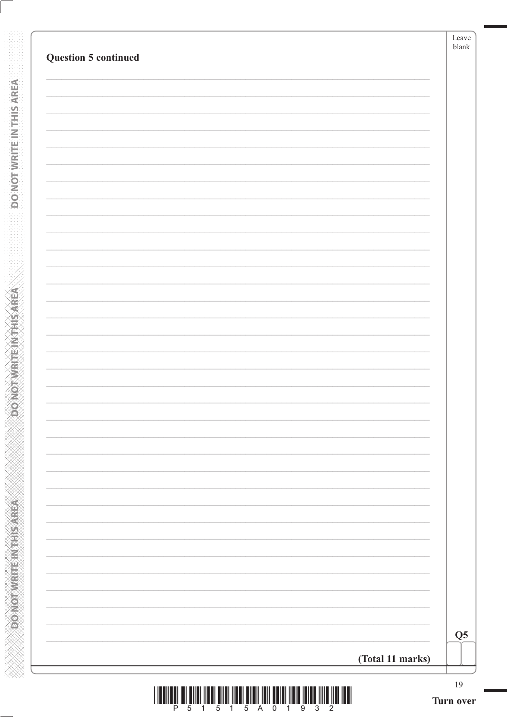| <b>Question 5 continued</b> |                  | Leave<br>blank  |
|-----------------------------|------------------|-----------------|
|                             |                  |                 |
|                             |                  |                 |
|                             |                  |                 |
|                             |                  |                 |
|                             |                  |                 |
|                             |                  |                 |
|                             |                  |                 |
|                             |                  |                 |
|                             |                  |                 |
|                             |                  |                 |
|                             |                  |                 |
|                             |                  |                 |
|                             |                  |                 |
|                             |                  |                 |
|                             |                  |                 |
|                             |                  |                 |
|                             |                  |                 |
|                             |                  |                 |
|                             |                  |                 |
|                             |                  |                 |
|                             |                  | Q <sub>5</sub>  |
|                             | (Total 11 marks) |                 |
| $\mathbf{1}$                |                  | 19<br>Turn over |

**DONOTWRITEINTHISAREA** 

**ACTIVE SHEET METAL COVERS** 

**ANNAN ANNAN ANNAN ANNAN ANNAN ANN**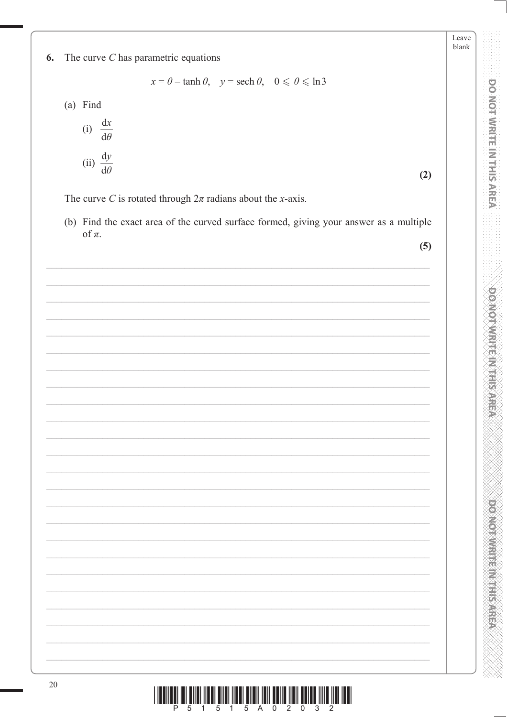Leave blank

**DO MOT WRITE IN THIS AREA** 

**DOXOTAMRITENT HIS AREA** 

**PRODUCTS IN THE REPORT OF** 

The curve  $C$  has parametric equations 6.

 $x = \theta - \tanh \theta$ ,  $y = \operatorname{sech} \theta$ ,  $0 \le \theta \le \ln 3$ 

(a) Find

(i) 
$$
\frac{dx}{d\theta}
$$
  
(ii)  $\frac{dy}{d\theta}$ 

 $(2)$ 

The curve C is rotated through  $2\pi$  radians about the x-axis.

(b) Find the exact area of the curved surface formed, giving your answer as a multiple of  $\pi$ .

 $(5)$ 

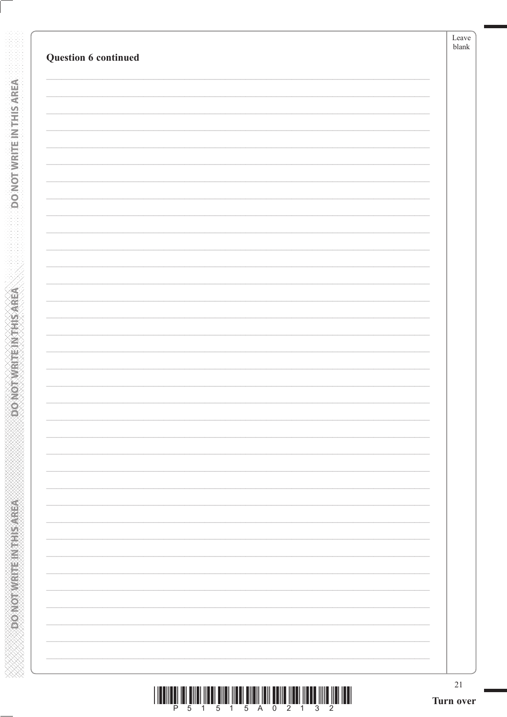| $21\,$ |
|--------|
|        |
|        |
|        |
|        |
|        |
|        |
|        |
|        |
|        |
|        |
|        |
|        |
|        |
|        |
|        |
|        |
|        |

**DONOTWRITEWTHSAREA** 

**BOONDINGTEINTHIS AREA**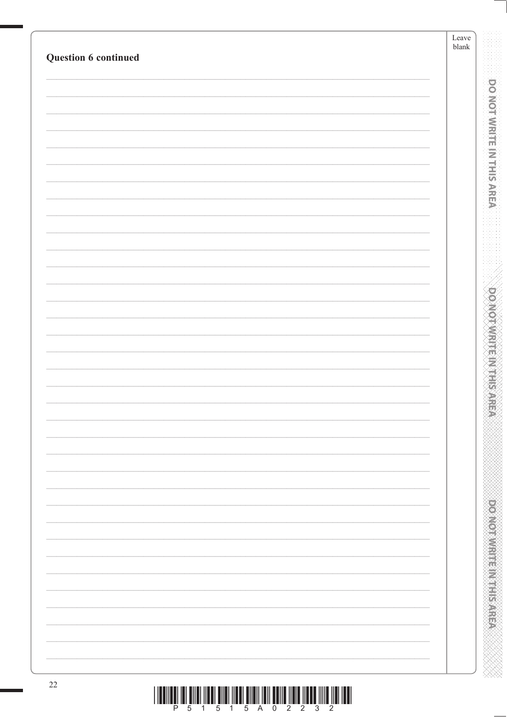| Question 6 continued | Leave<br>$\ensuremath{\mathit{blank}}$ |
|----------------------|----------------------------------------|
|                      |                                        |
|                      |                                        |
|                      |                                        |
|                      |                                        |
|                      |                                        |
|                      |                                        |
|                      |                                        |
|                      |                                        |
|                      |                                        |
|                      |                                        |
|                      |                                        |
|                      |                                        |
|                      |                                        |
|                      |                                        |
|                      |                                        |
|                      |                                        |
|                      |                                        |
|                      |                                        |
|                      |                                        |
|                      |                                        |
|                      |                                        |
|                      |                                        |
|                      |                                        |
|                      |                                        |
|                      |                                        |
|                      |                                        |
|                      |                                        |
|                      |                                        |
|                      |                                        |
|                      |                                        |
|                      |                                        |
|                      |                                        |
|                      |                                        |
|                      |                                        |
|                      |                                        |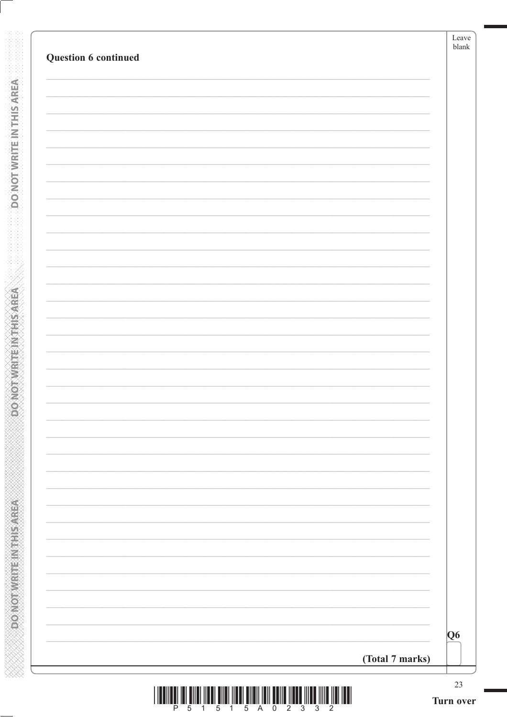| Q6              |
|-----------------|
| (Total 7 marks) |

**DONOTWRITEINTHISAREA** 

**ASSAMS AN EXERCISED AGGS**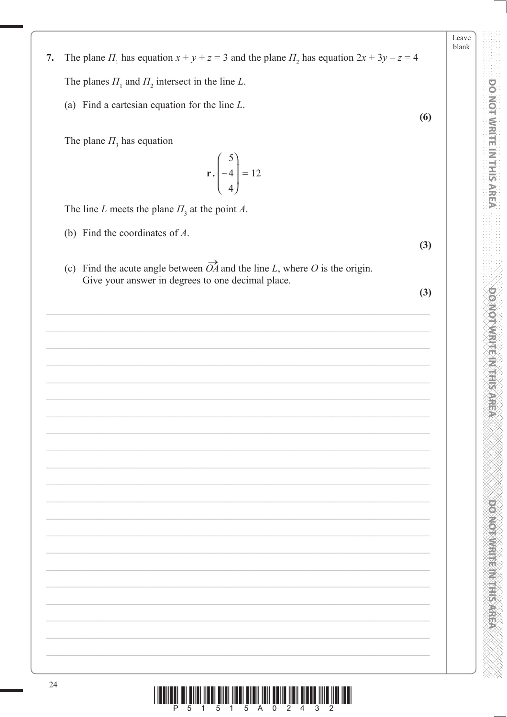- The plane  $\Pi_1$  has equation  $x + y + z = 3$  and the plane  $\Pi_2$  has equation  $2x + 3y z = 4$  $7.$ The planes  $\Pi_1$  and  $\Pi_2$  intersect in the line L.
	- (a) Find a cartesian equation for the line  $L$ .

The plane  $\Pi$ <sub>3</sub> has equation

# $5\overline{)}$  $\left| -4 \right| = 12$

The line L meets the plane  $\Pi_3$  at the point A.

- (b) Find the coordinates of  $A$ .
- (c) Find the acute angle between  $\overrightarrow{OA}$  and the line L, where O is the origin. Give your answer in degrees to one decimal place.

 $(3)$ 

 $(3)$ 

 $(6)$ 

**DO NOT WRITE IN THIS AREA** 

Leave

**POSTER AND RESIDENCE** 

**DO MOTAMRITE IN THIS AREA** 

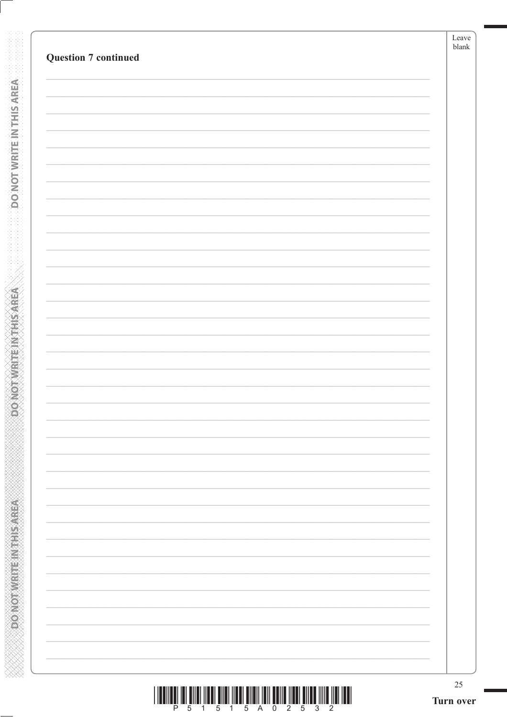| $25\,$<br>Turn over |
|---------------------|
|                     |
|                     |
|                     |
|                     |
|                     |
|                     |
|                     |
|                     |
|                     |
|                     |
|                     |
|                     |
|                     |
|                     |
|                     |
|                     |
|                     |
|                     |
|                     |
|                     |
|                     |
|                     |
|                     |
|                     |
|                     |
|                     |
|                     |
|                     |
|                     |
|                     |
|                     |
|                     |
|                     |
|                     |

**DO NOT WRITE IN THIS AREA** 

ABRASH IN MARK ON GRAM

| <u> I II dhe ka ka shekara mashari mashari masharida masharida masharida </u> |  |                         |  |  |  |  |
|-------------------------------------------------------------------------------|--|-------------------------|--|--|--|--|
|                                                                               |  | P 5 1 5 1 5 A 0 2 5 3 2 |  |  |  |  |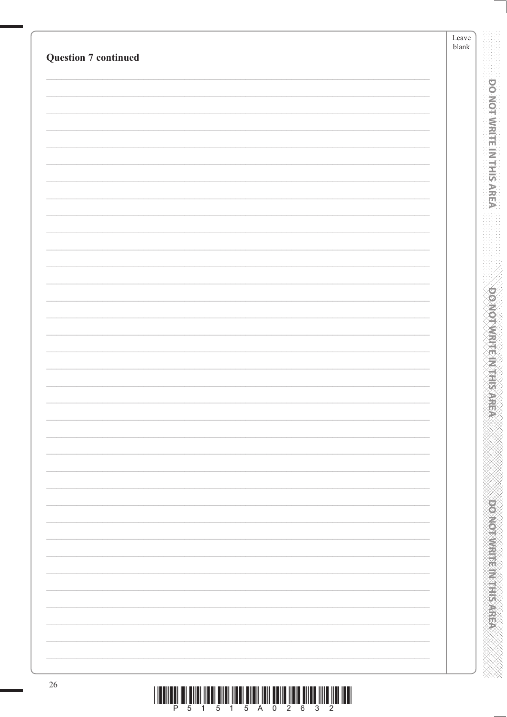| <b>Question 7 continued</b> | $\operatorname{Leave}$<br>${\tt blank}$ |
|-----------------------------|-----------------------------------------|
|                             |                                         |
|                             |                                         |
|                             |                                         |
|                             |                                         |
|                             |                                         |
|                             |                                         |
|                             |                                         |
|                             |                                         |
|                             |                                         |
|                             |                                         |
|                             |                                         |
|                             |                                         |
|                             |                                         |
|                             |                                         |
|                             |                                         |
|                             |                                         |
|                             |                                         |
|                             |                                         |
|                             |                                         |
|                             |                                         |
|                             |                                         |
|                             |                                         |
|                             |                                         |
|                             |                                         |
|                             |                                         |
|                             |                                         |
|                             |                                         |
|                             |                                         |
|                             |                                         |
|                             |                                         |
|                             |                                         |
|                             |                                         |
|                             |                                         |
| $26\,$                      |                                         |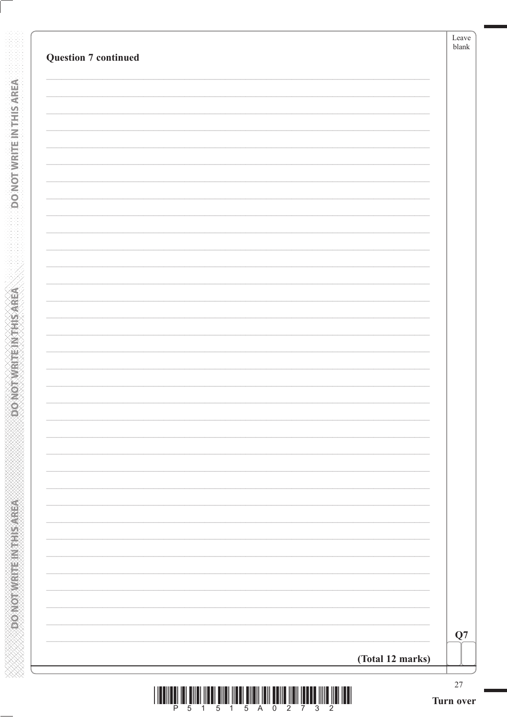| <b>Question 7 continued</b> |                  |    |
|-----------------------------|------------------|----|
|                             |                  |    |
|                             |                  |    |
|                             |                  |    |
|                             |                  |    |
|                             |                  |    |
|                             |                  |    |
|                             |                  |    |
|                             |                  |    |
|                             |                  |    |
|                             |                  |    |
|                             |                  |    |
|                             |                  |    |
|                             |                  |    |
|                             |                  |    |
|                             |                  |    |
|                             |                  |    |
|                             |                  |    |
|                             |                  |    |
|                             |                  |    |
|                             |                  |    |
|                             |                  |    |
|                             | (Total 12 marks) | Q7 |

**DONOTWRITEWTHSAREA** 

**ACTIVE SHEET METAL COVERS** 

**XXXXXXXXXXXXXXXXXXXXXXXXXXXXX**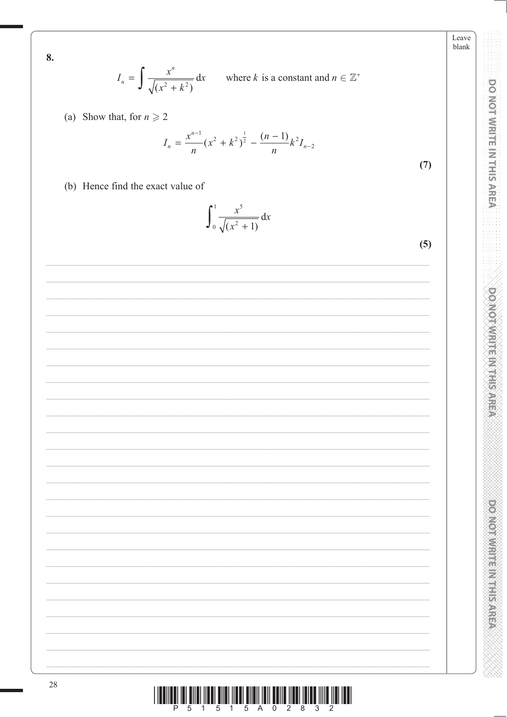8.

$$
I_n = \int \frac{x^n}{\sqrt{(x^2 + k^2)}} dx
$$
 where *k* is a constant and  $n \in \mathbb{Z}^+$ 

(a) Show that, for  $n \ge 2$ 

$$
I_n = \frac{x^{n-1}}{n} (x^2 + k^2)^{\frac{1}{2}} - \frac{(n-1)}{n} k^2 I_{n-2}
$$

 $(7)$ 

(b) Hence find the exact value of

 $\int_0^1 \frac{x^5}{\sqrt{(x^2+1)}} dx$ 

 $(5)$ 

Leave  $blank$ 

**DO NOT WRITE IN THIS AREA** 

**DOMOTIVITE MTHIS AREA** 

**POINT DESCRIPTION OF PROPERTY**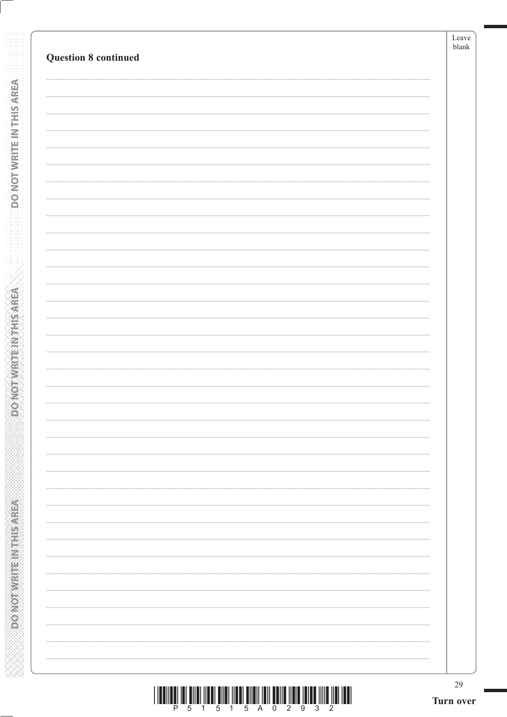| <b>Question 8 continued</b> | blank |
|-----------------------------|-------|
|                             |       |
|                             |       |
|                             |       |
|                             |       |
|                             |       |
|                             |       |
|                             |       |
|                             |       |
|                             |       |
|                             |       |
|                             |       |
|                             |       |
|                             |       |
|                             |       |
|                             |       |
|                             |       |
|                             |       |
|                             |       |
|                             |       |
|                             |       |
|                             |       |
|                             |       |
|                             |       |

**DO NOT WRITE INTERSAREA** 

ABRASH IN MARK ON GRAM

| <u> I III MARTIN KATA MARAKA MAREKA MAREKA MAREKA MAREKA MAREKA MAREKA MAREKA MAREKA MAREKA MAREKA MAREKA MAREKA </u> |  |                         |  |  |  |  |  |
|-----------------------------------------------------------------------------------------------------------------------|--|-------------------------|--|--|--|--|--|
|                                                                                                                       |  | P 5 1 5 1 5 A 0 2 9 3 2 |  |  |  |  |  |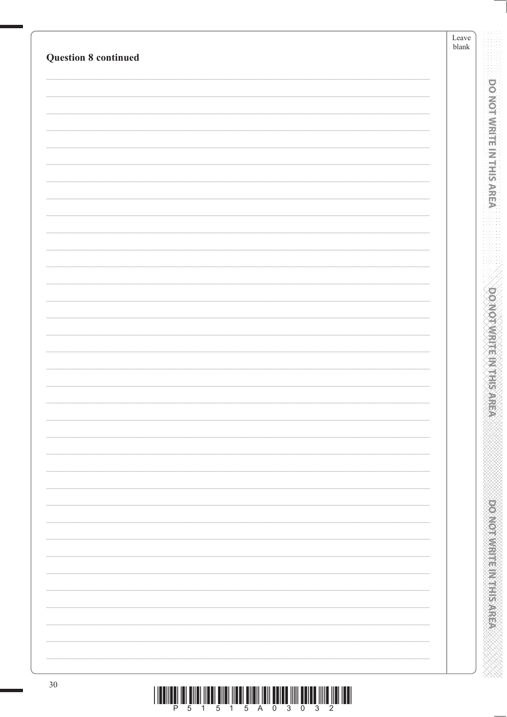|                             | $\operatorname{Leave}$<br>${\tt blank}$ |
|-----------------------------|-----------------------------------------|
| <b>Question 8 continued</b> |                                         |
|                             |                                         |
|                             |                                         |
|                             |                                         |
|                             |                                         |
|                             |                                         |
|                             |                                         |
|                             |                                         |
|                             |                                         |
|                             |                                         |
|                             |                                         |
|                             |                                         |
|                             |                                         |
|                             |                                         |
|                             |                                         |
|                             |                                         |
|                             |                                         |
|                             |                                         |
|                             |                                         |
|                             |                                         |
|                             |                                         |
|                             |                                         |
|                             |                                         |
|                             |                                         |
|                             |                                         |
|                             |                                         |
|                             |                                         |
|                             |                                         |
|                             |                                         |
|                             |                                         |
|                             |                                         |
|                             |                                         |
|                             |                                         |
|                             |                                         |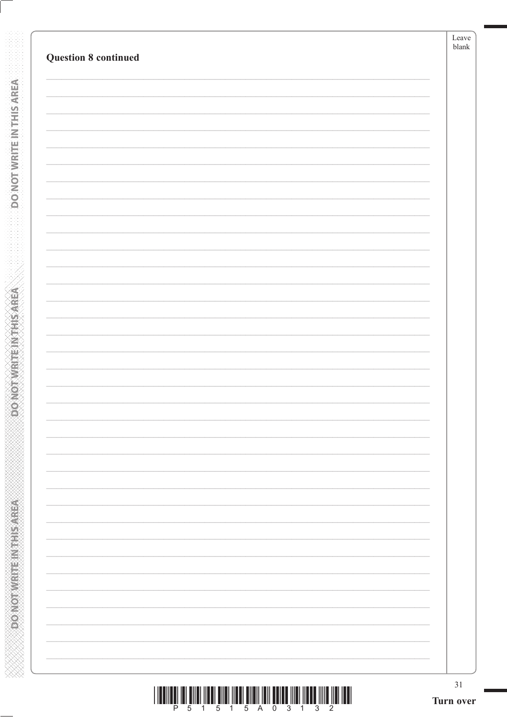| <b>Question 8 continued</b> | Leave  <br>blank |
|-----------------------------|------------------|
|                             |                  |
|                             |                  |
|                             |                  |
|                             |                  |
|                             |                  |
|                             |                  |
|                             |                  |
|                             |                  |
|                             |                  |
|                             |                  |
|                             |                  |
|                             |                  |
|                             |                  |
|                             |                  |
|                             |                  |
|                             |                  |
|                             |                  |
|                             |                  |
|                             |                  |
|                             |                  |
|                             |                  |
|                             |                  |
|                             |                  |

**DO NOT WRITE IN THIS AREA** 

**Examples Income of Americans** 

| <u> I III DI LA BILI III DI LA BILI III DI LA BILI DI LA BILI III DI LA BILI III DI LA BILI III DI LA BILI III DI</u> |                         |  |  |  |  |  |
|-----------------------------------------------------------------------------------------------------------------------|-------------------------|--|--|--|--|--|
|                                                                                                                       | P 5 1 5 1 5 A 0 3 1 3 2 |  |  |  |  |  |